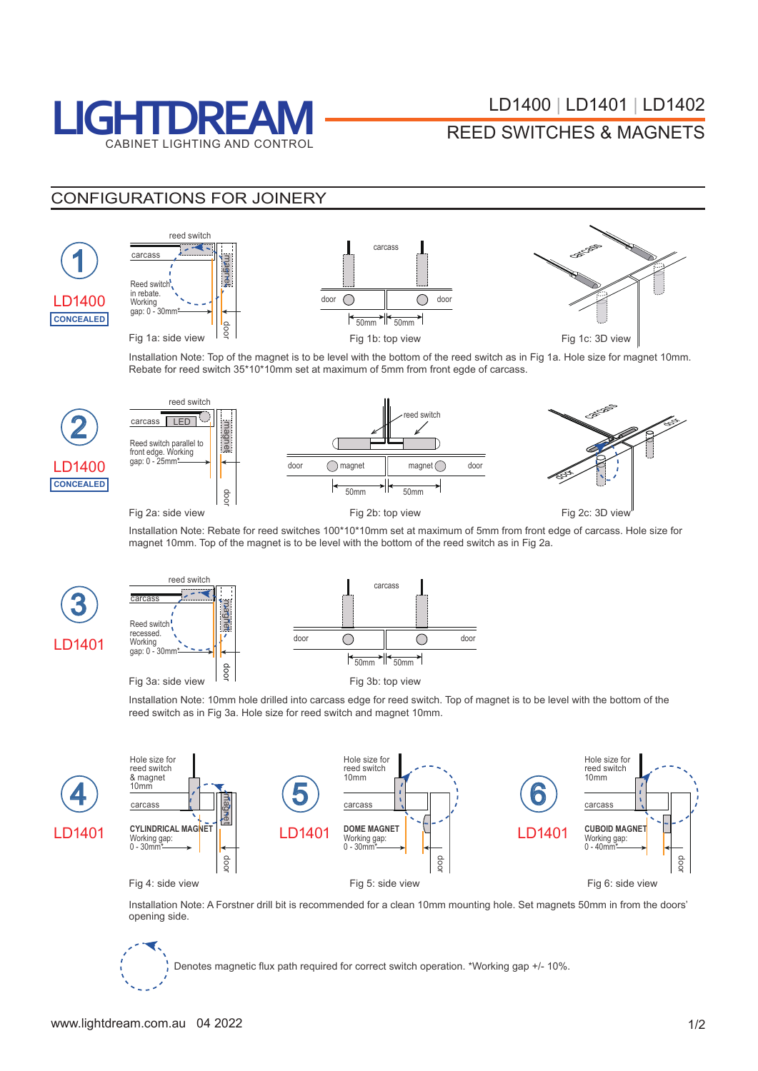

## CONFIGURATIONS FOR JOINERY









door

Installation Note: Top of the magnet is to be level with the bottom of the reed switch as in Fig 1a. Hole size for magnet 10mm. Rebate for reed switch 35\*10\*10mm set at maximum of 5mm from front egde of carcass.





Installation Note: Rebate for reed switches 100\*10\*10mm set at maximum of 5mm from front edge of carcass. Hole size for magnet 10mm. Top of the magnet is to be level with the bottom of the reed switch as in Fig 2a.







Installation Note: 10mm hole drilled into carcass edge for reed switch. Top of magnet is to be level with the bottom of the reed switch as in Fig 3a. Hole size for reed switch and magnet 10mm.





Installation Note: A Forstner drill bit is recommended for a clean 10mm mounting hole. Set magnets 50mm in from the doors' opening side.